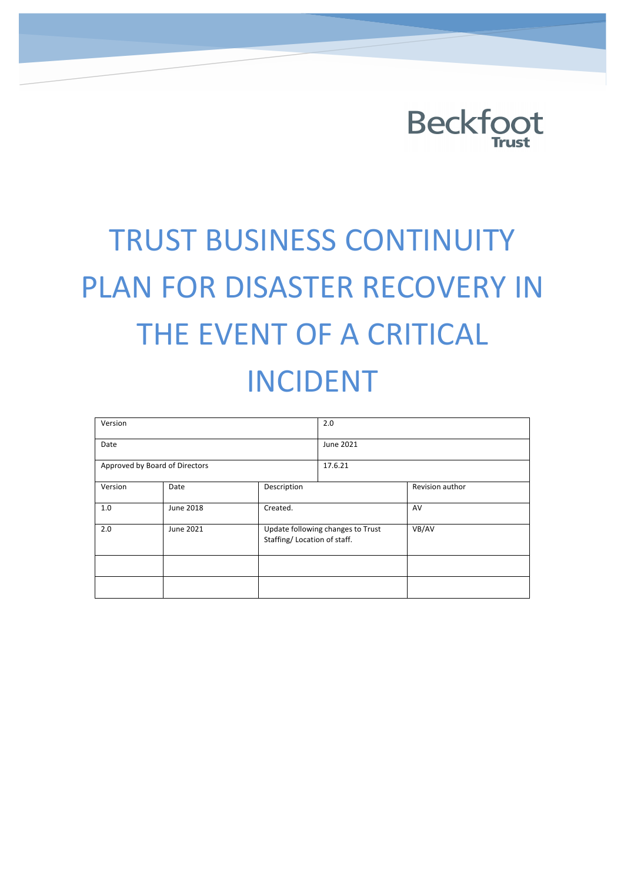

# **TRUST BUSINESS CONTINUITY** PLAN FOR DISASTER RECOVERY IN THE EVENT OF A CRITICAL INCIDENT

| Version                        |           |                              | 2.0                               |                 |
|--------------------------------|-----------|------------------------------|-----------------------------------|-----------------|
| Date                           |           |                              | June 2021                         |                 |
| Approved by Board of Directors |           |                              | 17.6.21                           |                 |
| Version                        | Date      | Description                  |                                   | Revision author |
| 1.0                            | June 2018 | Created.                     |                                   | AV              |
| 2.0                            | June 2021 | Staffing/ Location of staff. | Update following changes to Trust | VB/AV           |
|                                |           |                              |                                   |                 |
|                                |           |                              |                                   |                 |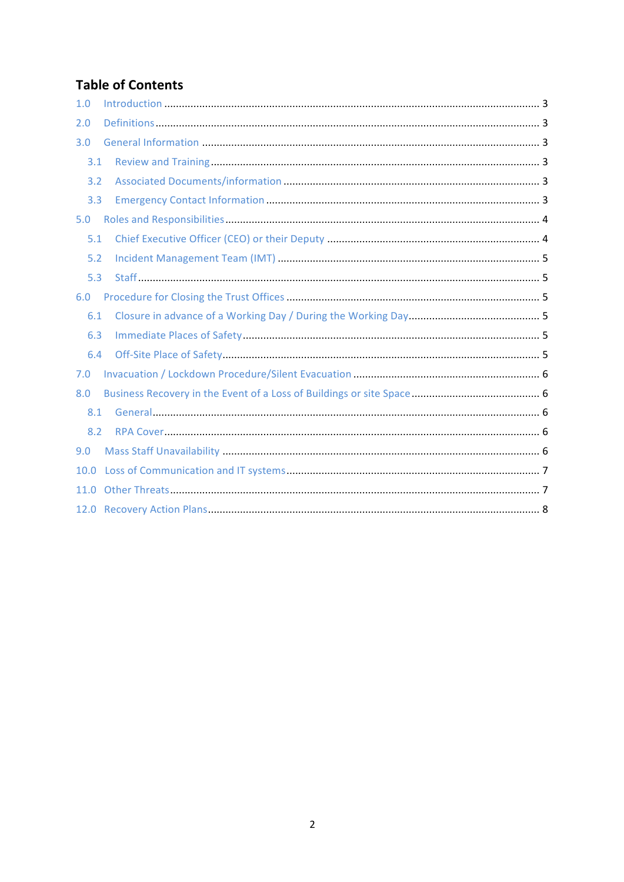#### **Table of Contents**

| 1.0  |  |
|------|--|
| 2.0  |  |
| 3.0  |  |
| 3.1  |  |
| 3.2  |  |
| 3.3  |  |
| 5.0  |  |
| 5.1  |  |
| 5.2  |  |
| 5.3  |  |
| 6.0  |  |
| 6.1  |  |
| 6.3  |  |
| 6.4  |  |
| 7.0  |  |
| 8.0  |  |
| 8.1  |  |
| 8.2  |  |
| 9.0  |  |
| 10.0 |  |
| 11.0 |  |
|      |  |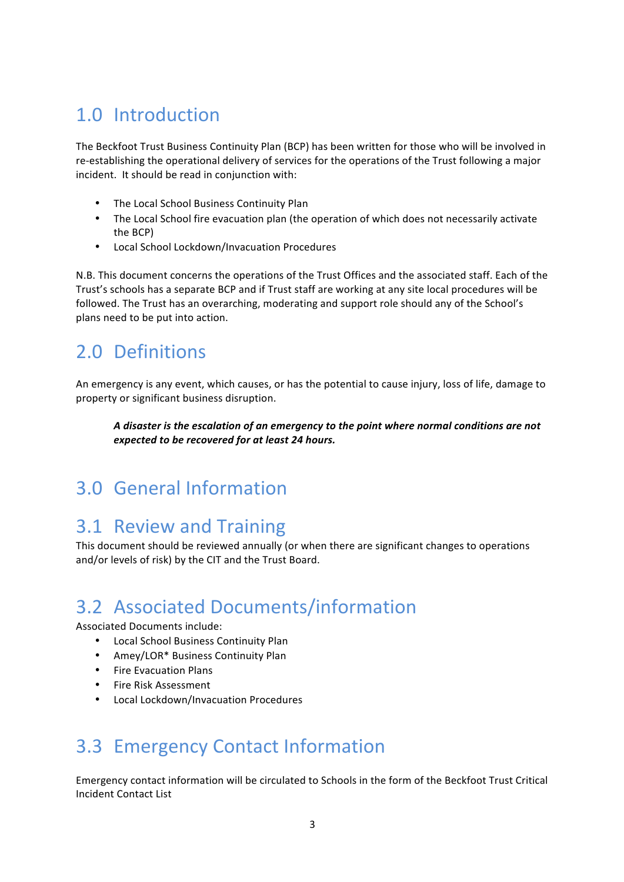## 1.0 Introduction

The Beckfoot Trust Business Continuity Plan (BCP) has been written for those who will be involved in re-establishing the operational delivery of services for the operations of the Trust following a major incident. It should be read in conjunction with:

- The Local School Business Continuity Plan
- The Local School fire evacuation plan (the operation of which does not necessarily activate the BCP)
- Local School Lockdown/Invacuation Procedures

N.B. This document concerns the operations of the Trust Offices and the associated staff. Each of the Trust's schools has a separate BCP and if Trust staff are working at any site local procedures will be followed. The Trust has an overarching, moderating and support role should any of the School's plans need to be put into action.

#### 2.0 Definitions

An emergency is any event, which causes, or has the potential to cause injury, loss of life, damage to property or significant business disruption.

A disaster is the escalation of an emergency to the point where normal conditions are not *expected to be recovered for at least 24 hours.*

#### 3.0 General Information

#### 3.1 Review and Training

This document should be reviewed annually (or when there are significant changes to operations and/or levels of risk) by the CIT and the Trust Board.

#### **3.2 Associated Documents/information**

Associated Documents include:

- Local School Business Continuity Plan
- Amey/LOR\* Business Continuity Plan
- Fire Evacuation Plans
- Fire Risk Assessment
- Local Lockdown/Invacuation Procedures

#### **3.3 Emergency Contact Information**

Emergency contact information will be circulated to Schools in the form of the Beckfoot Trust Critical Incident Contact List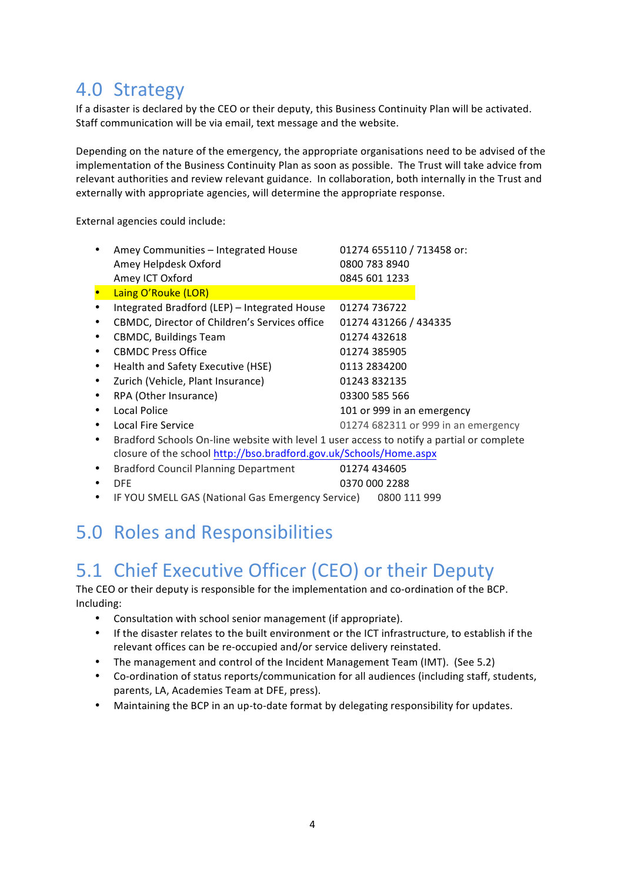#### 4.0 Strategy

If a disaster is declared by the CEO or their deputy, this Business Continuity Plan will be activated. Staff communication will be via email, text message and the website.

Depending on the nature of the emergency, the appropriate organisations need to be advised of the implementation of the Business Continuity Plan as soon as possible. The Trust will take advice from relevant authorities and review relevant guidance. In collaboration, both internally in the Trust and externally with appropriate agencies, will determine the appropriate response.

External agencies could include:

|   | Amey Communities - Integrated House<br>Amey Helpdesk Oxford<br>Amey ICT Oxford            | 01274 655110 / 713458 or:<br>0800 783 8940<br>0845 601 1233 |  |  |
|---|-------------------------------------------------------------------------------------------|-------------------------------------------------------------|--|--|
|   | Laing O'Rouke (LOR)                                                                       |                                                             |  |  |
|   | Integrated Bradford (LEP) - Integrated House                                              | 01274 736722                                                |  |  |
|   | CBMDC, Director of Children's Services office                                             | 01274 431266 / 434335                                       |  |  |
|   | <b>CBMDC, Buildings Team</b>                                                              | 01274 432618                                                |  |  |
|   | <b>CBMDC Press Office</b>                                                                 | 01274 385905                                                |  |  |
|   | Health and Safety Executive (HSE)                                                         | 0113 2834200                                                |  |  |
| ٠ | Zurich (Vehicle, Plant Insurance)                                                         | 01243 832135                                                |  |  |
| ٠ | RPA (Other Insurance)                                                                     | 03300 585 566                                               |  |  |
| ٠ | Local Police                                                                              | 101 or 999 in an emergency                                  |  |  |
|   | Local Fire Service                                                                        | 01274 682311 or 999 in an emergency                         |  |  |
|   | Bradford Schools On-line website with level 1 user access to notify a partial or complete |                                                             |  |  |
|   | closure of the school http://bso.bradford.gov.uk/Schools/Home.aspx                        |                                                             |  |  |
| ٠ | <b>Bradford Council Planning Department</b>                                               | 01274 434605                                                |  |  |
|   | <b>DFE</b>                                                                                | 0370 000 2288                                               |  |  |
|   |                                                                                           |                                                             |  |  |

#### • IF YOU SMELL GAS (National Gas Emergency Service) 0800 111 999

#### 5.0 Roles and Responsibilities

#### 5.1 Chief Executive Officer (CEO) or their Deputy

The CEO or their deputy is responsible for the implementation and co-ordination of the BCP. Including:

- Consultation with school senior management (if appropriate).
- If the disaster relates to the built environment or the ICT infrastructure, to establish if the relevant offices can be re-occupied and/or service delivery reinstated.
- The management and control of the Incident Management Team (IMT). (See 5.2)
- Co-ordination of status reports/communication for all audiences (including staff, students, parents, LA, Academies Team at DFE, press).
- Maintaining the BCP in an up-to-date format by delegating responsibility for updates.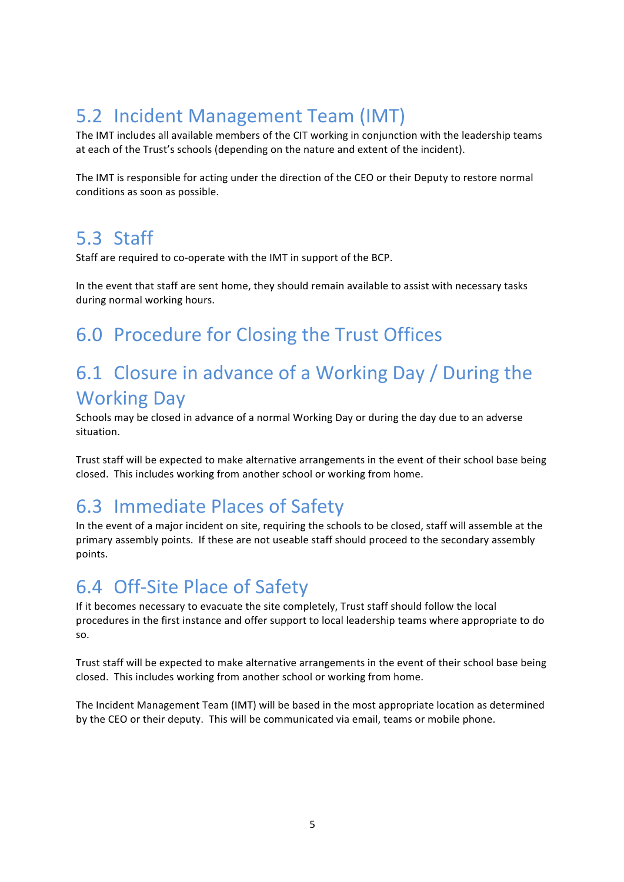# 5.2 Incident Management Team (IMT)

The IMT includes all available members of the CIT working in conjunction with the leadership teams at each of the Trust's schools (depending on the nature and extent of the incident).

The IMT is responsible for acting under the direction of the CEO or their Deputy to restore normal conditions as soon as possible.

#### 5.3 Staff

Staff are required to co-operate with the IMT in support of the BCP.

In the event that staff are sent home, they should remain available to assist with necessary tasks during normal working hours.

# 6.0 Procedure for Closing the Trust Offices

#### 6.1 Closure in advance of a Working Day / During the **Working Day**

Schools may be closed in advance of a normal Working Day or during the day due to an adverse situation.

Trust staff will be expected to make alternative arrangements in the event of their school base being closed. This includes working from another school or working from home.

# 6.3 Immediate Places of Safety

In the event of a major incident on site, requiring the schools to be closed, staff will assemble at the primary assembly points. If these are not useable staff should proceed to the secondary assembly points.

#### 6.4 Off-Site Place of Safety

If it becomes necessary to evacuate the site completely, Trust staff should follow the local procedures in the first instance and offer support to local leadership teams where appropriate to do so. 

Trust staff will be expected to make alternative arrangements in the event of their school base being closed. This includes working from another school or working from home.

The Incident Management Team (IMT) will be based in the most appropriate location as determined by the CEO or their deputy. This will be communicated via email, teams or mobile phone.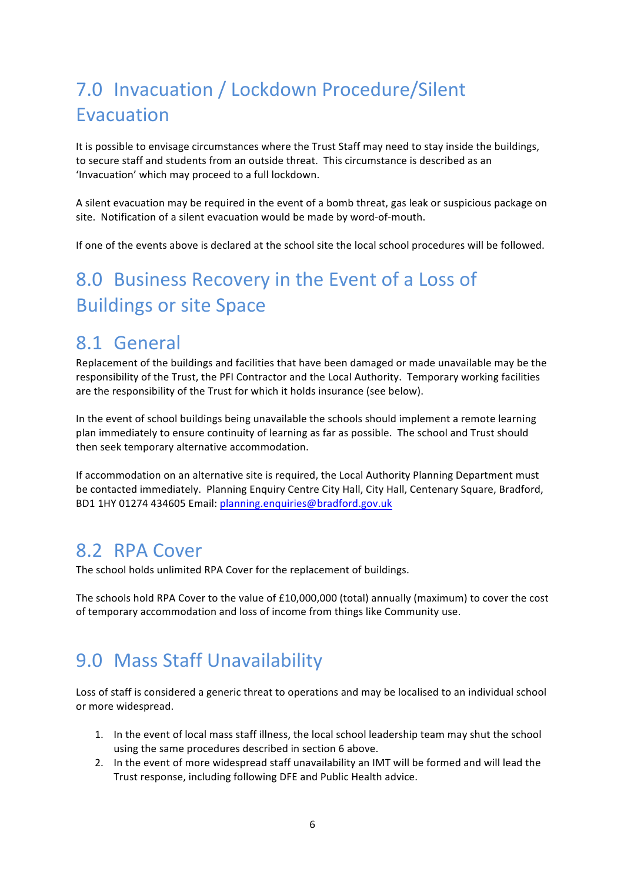# 7.0 Invacuation / Lockdown Procedure/Silent Evacuation

It is possible to envisage circumstances where the Trust Staff may need to stay inside the buildings, to secure staff and students from an outside threat. This circumstance is described as an 'Invacuation' which may proceed to a full lockdown.

A silent evacuation may be required in the event of a bomb threat, gas leak or suspicious package on site. Notification of a silent evacuation would be made by word-of-mouth.

If one of the events above is declared at the school site the local school procedures will be followed.

# 8.0 Business Recovery in the Event of a Loss of **Buildings or site Space**

#### 8.1 General

Replacement of the buildings and facilities that have been damaged or made unavailable may be the responsibility of the Trust, the PFI Contractor and the Local Authority. Temporary working facilities are the responsibility of the Trust for which it holds insurance (see below).

In the event of school buildings being unavailable the schools should implement a remote learning plan immediately to ensure continuity of learning as far as possible. The school and Trust should then seek temporary alternative accommodation.

If accommodation on an alternative site is required, the Local Authority Planning Department must be contacted immediately. Planning Enquiry Centre City Hall, City Hall, Centenary Square, Bradford, BD1 1HY 01274 434605 Email: planning.enquiries@bradford.gov.uk

#### 8.2 RPA Cover

The school holds unlimited RPA Cover for the replacement of buildings.

The schools hold RPA Cover to the value of  $£10,000,000$  (total) annually (maximum) to cover the cost of temporary accommodation and loss of income from things like Community use.

#### **9.0 Mass Staff Unavailability**

Loss of staff is considered a generic threat to operations and may be localised to an individual school or more widespread.

- 1. In the event of local mass staff illness, the local school leadership team may shut the school using the same procedures described in section 6 above.
- 2. In the event of more widespread staff unavailability an IMT will be formed and will lead the Trust response, including following DFE and Public Health advice.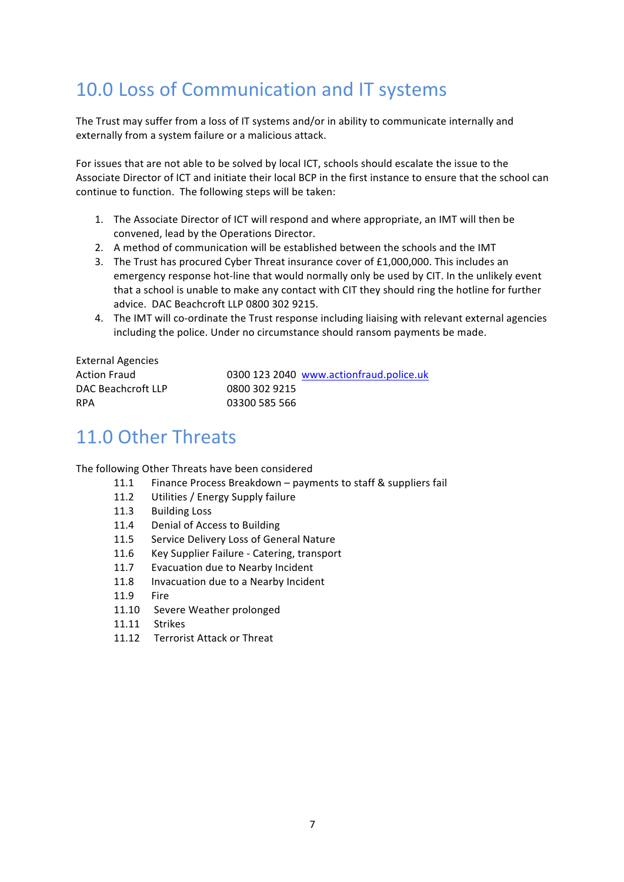# 10.0 Loss of Communication and IT systems

The Trust may suffer from a loss of IT systems and/or in ability to communicate internally and externally from a system failure or a malicious attack.

For issues that are not able to be solved by local ICT, schools should escalate the issue to the Associate Director of ICT and initiate their local BCP in the first instance to ensure that the school can continue to function. The following steps will be taken:

- 1. The Associate Director of ICT will respond and where appropriate, an IMT will then be convened, lead by the Operations Director.
- 2. A method of communication will be established between the schools and the IMT
- 3. The Trust has procured Cyber Threat insurance cover of  $£1,000,000$ . This includes an emergency response hot-line that would normally only be used by CIT. In the unlikely event that a school is unable to make any contact with CIT they should ring the hotline for further advice. DAC Beachcroft LLP 0800 302 9215.
- 4. The IMT will co-ordinate the Trust response including liaising with relevant external agencies including the police. Under no circumstance should ransom payments be made.

| <b>External Agencies</b> |                                         |
|--------------------------|-----------------------------------------|
| <b>Action Fraud</b>      | 0300 123 2040 www.actionfraud.police.uk |
| DAC Beachcroft LLP       | 0800 302 9215                           |
| <b>RPA</b>               | 03300 585 566                           |

## 11.0 Other Threats

The following Other Threats have been considered

- 11.1 Finance Process Breakdown payments to staff & suppliers fail
- 11.2 Utilities / Energy Supply failure
- 11.3 Building Loss
- 11.4 Denial of Access to Building
- 11.5 Service Delivery Loss of General Nature
- 11.6 Key Supplier Failure Catering, transport
- 11.7 Evacuation due to Nearby Incident
- 11.8 Invacuation due to a Nearby Incident
- 11.9 Fire
- 11.10 Severe Weather prolonged
- 11.11 Strikes
- 11.12 Terrorist Attack or Threat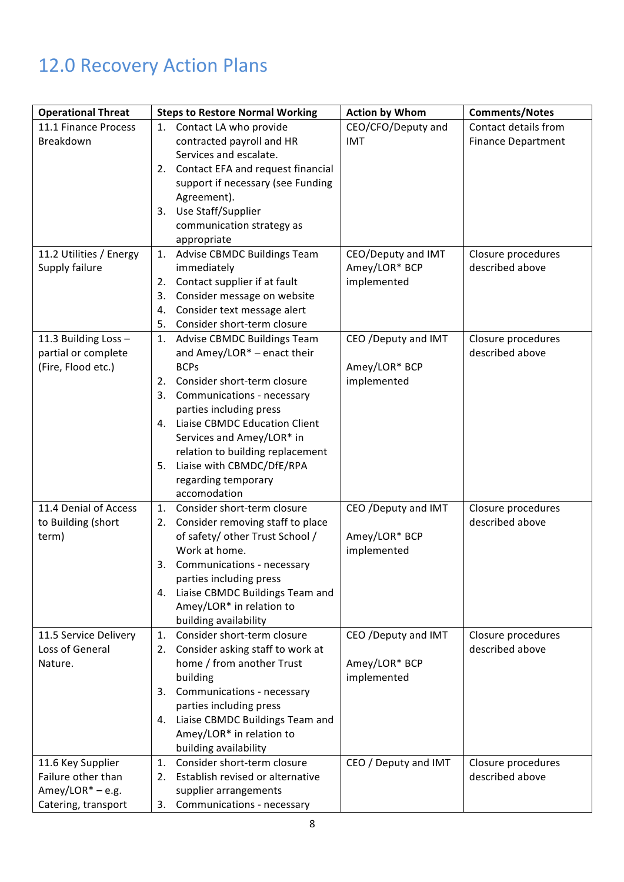# 12.0 Recovery Action Plans

| <b>Operational Threat</b> | <b>Steps to Restore Normal Working</b>        | <b>Action by Whom</b> | <b>Comments/Notes</b>     |
|---------------------------|-----------------------------------------------|-----------------------|---------------------------|
| 11.1 Finance Process      | 1. Contact LA who provide                     | CEO/CFO/Deputy and    | Contact details from      |
| Breakdown                 | contracted payroll and HR                     | IMT                   | <b>Finance Department</b> |
|                           | Services and escalate.                        |                       |                           |
|                           | 2. Contact EFA and request financial          |                       |                           |
|                           | support if necessary (see Funding             |                       |                           |
|                           | Agreement).                                   |                       |                           |
|                           | Use Staff/Supplier<br>3.                      |                       |                           |
|                           | communication strategy as                     |                       |                           |
|                           | appropriate                                   |                       |                           |
| 11.2 Utilities / Energy   | 1. Advise CBMDC Buildings Team                | CEO/Deputy and IMT    | Closure procedures        |
| Supply failure            | immediately                                   | Amey/LOR* BCP         | described above           |
|                           | Contact supplier if at fault<br>2.            | implemented           |                           |
|                           | Consider message on website<br>3.             |                       |                           |
|                           | Consider text message alert<br>4.             |                       |                           |
|                           | Consider short-term closure<br>5.             |                       |                           |
| 11.3 Building Loss -      | Advise CBMDC Buildings Team<br>1.             | CEO / Deputy and IMT  | Closure procedures        |
| partial or complete       | and Amey/LOR* - enact their                   |                       | described above           |
| (Fire, Flood etc.)        | <b>BCPs</b>                                   | Amey/LOR* BCP         |                           |
|                           | Consider short-term closure<br>2.             | implemented           |                           |
|                           | 3. Communications - necessary                 |                       |                           |
|                           | parties including press                       |                       |                           |
|                           | 4. Liaise CBMDC Education Client              |                       |                           |
|                           | Services and Amey/LOR* in                     |                       |                           |
|                           | relation to building replacement              |                       |                           |
|                           | Liaise with CBMDC/DfE/RPA<br>5.               |                       |                           |
|                           | regarding temporary                           |                       |                           |
|                           | accomodation                                  |                       |                           |
| 11.4 Denial of Access     | Consider short-term closure<br>1.             | CEO / Deputy and IMT  | Closure procedures        |
| to Building (short        | 2. Consider removing staff to place           |                       | described above           |
| term)                     | of safety/ other Trust School /               | Amey/LOR* BCP         |                           |
|                           | Work at home.                                 | implemented           |                           |
|                           | 3.<br>Communications - necessary              |                       |                           |
|                           | parties including press                       |                       |                           |
|                           | 4. Liaise CBMDC Buildings Team and            |                       |                           |
|                           | Amey/LOR* in relation to                      |                       |                           |
|                           | building availability                         |                       |                           |
| 11.5 Service Delivery     | Consider short-term closure<br>1.             | CEO / Deputy and IMT  | Closure procedures        |
| Loss of General           | 2. Consider asking staff to work at           |                       | described above           |
| Nature.                   | home / from another Trust                     | Amey/LOR* BCP         |                           |
|                           | building                                      | implemented           |                           |
|                           | Communications - necessary<br>3.              |                       |                           |
|                           | parties including press                       |                       |                           |
|                           | 4. Liaise CBMDC Buildings Team and            |                       |                           |
|                           | Amey/LOR* in relation to                      |                       |                           |
|                           | building availability                         |                       |                           |
| 11.6 Key Supplier         | Consider short-term closure<br>$\mathbf{1}$ . | CEO / Deputy and IMT  | Closure procedures        |
| Failure other than        | Establish revised or alternative<br>2.        |                       | described above           |
| Amey/LOR $* - e.g.$       | supplier arrangements                         |                       |                           |
| Catering, transport       | Communications - necessary<br>3.              |                       |                           |